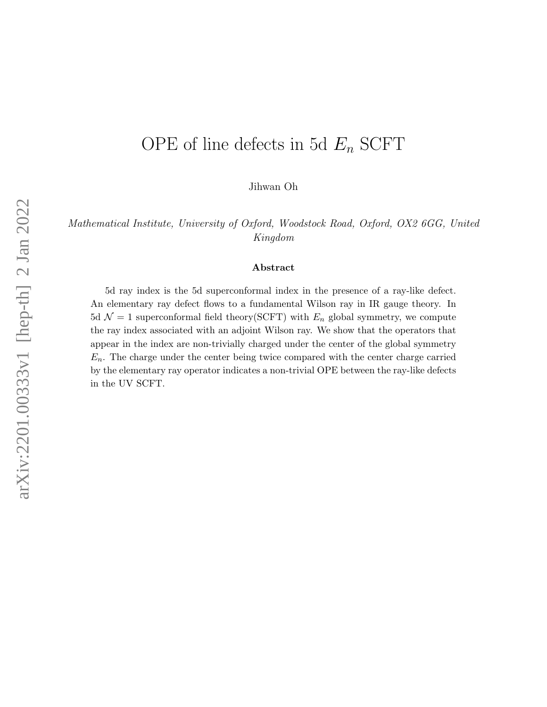# OPE of line defects in 5d  $E_n$  SCFT

Jihwan Oh

Mathematical Institute, University of Oxford, Woodstock Road, Oxford, OX2 6GG, United Kingdom

#### Abstract

5d ray index is the 5d superconformal index in the presence of a ray-like defect. An elementary ray defect flows to a fundamental Wilson ray in IR gauge theory. In 5d  $\mathcal{N} = 1$  superconformal field theory(SCFT) with  $E_n$  global symmetry, we compute the ray index associated with an adjoint Wilson ray. We show that the operators that appear in the index are non-trivially charged under the center of the global symmetry  $E_n$ . The charge under the center being twice compared with the center charge carried by the elementary ray operator indicates a non-trivial OPE between the ray-like defects in the UV SCFT.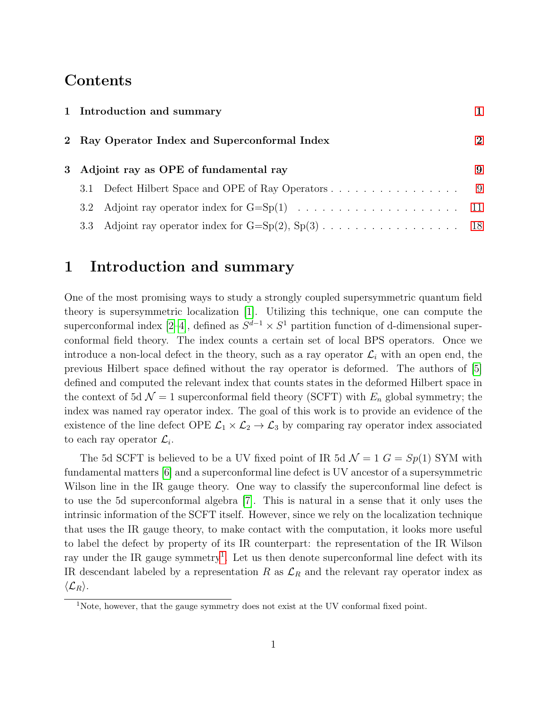# **Contents**

|  | 1 Introduction and summary<br>2 Ray Operator Index and Superconformal Index |                                                                                                        |                   |  |  |  |  |  |  |  |
|--|-----------------------------------------------------------------------------|--------------------------------------------------------------------------------------------------------|-------------------|--|--|--|--|--|--|--|
|  |                                                                             |                                                                                                        |                   |  |  |  |  |  |  |  |
|  | 3 Adjoint ray as OPE of fundamental ray                                     |                                                                                                        |                   |  |  |  |  |  |  |  |
|  |                                                                             |                                                                                                        | $\hspace{1.6cm}9$ |  |  |  |  |  |  |  |
|  |                                                                             |                                                                                                        |                   |  |  |  |  |  |  |  |
|  |                                                                             | 3.3 Adjoint ray operator index for $G = Sp(2), Sp(3) \ldots \ldots \ldots \ldots \ldots \ldots \ldots$ |                   |  |  |  |  |  |  |  |

# <span id="page-1-0"></span>1 Introduction and summary

One of the most promising ways to study a strongly coupled supersymmetric quantum field theory is supersymmetric localization [\[1\]](#page-19-0). Utilizing this technique, one can compute the superconformal index [\[2–](#page-19-1)[4\]](#page-20-0), defined as  $S^{d-1} \times S^1$  partition function of d-dimensional superconformal field theory. The index counts a certain set of local BPS operators. Once we introduce a non-local defect in the theory, such as a ray operator  $\mathcal{L}_i$  with an open end, the previous Hilbert space defined without the ray operator is deformed. The authors of [\[5\]](#page-20-1) defined and computed the relevant index that counts states in the deformed Hilbert space in the context of 5d  $\mathcal{N} = 1$  superconformal field theory (SCFT) with  $E_n$  global symmetry; the index was named ray operator index. The goal of this work is to provide an evidence of the existence of the line defect OPE  $\mathcal{L}_1 \times \mathcal{L}_2 \to \mathcal{L}_3$  by comparing ray operator index associated to each ray operator  $\mathcal{L}_i$ .

The 5d SCFT is believed to be a UV fixed point of IR 5d  $\mathcal{N} = 1$   $G = Sp(1)$  SYM with fundamental matters [\[6\]](#page-20-2) and a superconformal line defect is UV ancestor of a supersymmetric Wilson line in the IR gauge theory. One way to classify the superconformal line defect is to use the 5d superconformal algebra [\[7\]](#page-20-3). This is natural in a sense that it only uses the intrinsic information of the SCFT itself. However, since we rely on the localization technique that uses the IR gauge theory, to make contact with the computation, it looks more useful to label the defect by property of its IR counterpart: the representation of the IR Wilson ray under the IR gauge symmetry<sup>[1](#page-1-1)</sup>. Let us then denote superconformal line defect with its IR descendant labeled by a representation R as  $\mathcal{L}_R$  and the relevant ray operator index as  $\langle\mathcal{L}_R\rangle$ .

<span id="page-1-1"></span><sup>&</sup>lt;sup>1</sup>Note, however, that the gauge symmetry does not exist at the UV conformal fixed point.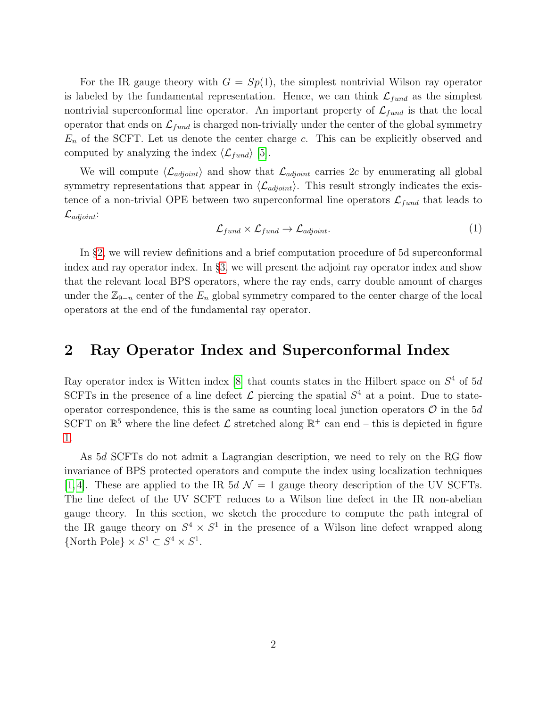For the IR gauge theory with  $G = Sp(1)$ , the simplest nontrivial Wilson ray operator is labeled by the fundamental representation. Hence, we can think  $\mathcal{L}_{fund}$  as the simplest nontrivial superconformal line operator. An important property of  $\mathcal{L}_{fund}$  is that the local operator that ends on  $\mathcal{L}_{fund}$  is charged non-trivially under the center of the global symmetry  $E_n$  of the SCFT. Let us denote the center charge c. This can be explicitly observed and computed by analyzing the index  $\langle \mathcal{L}_{fund} \rangle$  [\[5\]](#page-20-1).

We will compute  $\langle \mathcal{L}_{adjoint} \rangle$  and show that  $\mathcal{L}_{adjoint}$  carries 2c by enumerating all global symmetry representations that appear in  $\langle \mathcal{L}_{adjoint} \rangle$ . This result strongly indicates the existence of a non-trivial OPE between two superconformal line operators  $\mathcal{L}_{fund}$  that leads to  $\mathcal{L}_{adjoint}$ 

$$
\mathcal{L}_{fund} \times \mathcal{L}_{fund} \rightarrow \mathcal{L}_{adjoint}. \tag{1}
$$

In §[2,](#page-2-0) we will review definitions and a brief computation procedure of 5d superconformal index and ray operator index. In §[3,](#page-9-0) we will present the adjoint ray operator index and show that the relevant local BPS operators, where the ray ends, carry double amount of charges under the  $\mathbb{Z}_{9-n}$  center of the  $E_n$  global symmetry compared to the center charge of the local operators at the end of the fundamental ray operator.

### <span id="page-2-0"></span>2 Ray Operator Index and Superconformal Index

Ray operator index is Witten index [\[8\]](#page-20-4) that counts states in the Hilbert space on  $S<sup>4</sup>$  of 5d SCFTs in the presence of a line defect  $\mathcal L$  piercing the spatial  $S^4$  at a point. Due to stateoperator correspondence, this is the same as counting local junction operators  $\mathcal O$  in the 5d SCFT on  $\mathbb{R}^5$  where the line defect  $\mathcal L$  stretched along  $\mathbb{R}^+$  can end – this is depicted in figure [1.](#page-3-0)

As 5d SCFTs do not admit a Lagrangian description, we need to rely on the RG flow invariance of BPS protected operators and compute the index using localization techniques [\[1,](#page-19-0) [4\]](#page-20-0). These are applied to the IR  $5d \mathcal{N} = 1$  gauge theory description of the UV SCFTs. The line defect of the UV SCFT reduces to a Wilson line defect in the IR non-abelian gauge theory. In this section, we sketch the procedure to compute the path integral of the IR gauge theory on  $S^4 \times S^1$  in the presence of a Wilson line defect wrapped along {North Pole}  $\times S^1 \subset S^4 \times S^1$ .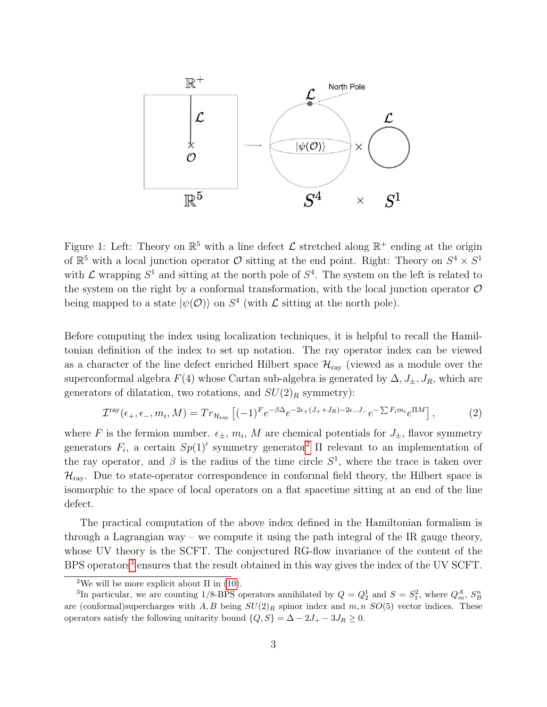<span id="page-3-0"></span>

Figure 1: Left: Theory on  $\mathbb{R}^5$  with a line defect  $\mathcal L$  stretched along  $\mathbb{R}^+$  ending at the origin of  $\mathbb{R}^5$  with a local junction operator  $\mathcal O$  sitting at the end point. Right: Theory on  $S^4 \times S^1$ with  $\mathcal L$  wrapping  $S^1$  and sitting at the north pole of  $S^4$ . The system on the left is related to the system on the right by a conformal transformation, with the local junction operator  $\mathcal O$ being mapped to a state  $|\psi(\mathcal{O})\rangle$  on  $S^4$  (with  $\mathcal L$  sitting at the north pole).

Before computing the index using localization techniques, it is helpful to recall the Hamiltonian definition of the index to set up notation. The ray operator index can be viewed as a character of the line defect enriched Hilbert space  $\mathcal{H}_{ray}$  (viewed as a module over the superconformal algebra  $F(4)$  whose Cartan sub-algebra is generated by  $\Delta, J_{\pm}, J_R$ , which are generators of dilatation, two rotations, and  $SU(2)_R$  symmetry):

$$
\mathcal{I}^{\text{ray}}(\epsilon_+,\epsilon_-,m_i,M) = Tr_{\mathcal{H}_{\text{ray}}} \left[ (-1)^F e^{-\beta \Delta} e^{-2\epsilon_+(J_+ + J_R) - 2\epsilon_- J_-} e^{-\sum F_i m_i} e^{\Pi M} \right],\tag{2}
$$

where F is the fermion number.  $\epsilon_{\pm}$ ,  $m_i$ , M are chemical potentials for  $J_{\pm}$ , flavor symmetry generators  $F_i$ , a certain  $Sp(1)'$  symmetry generator<sup>[2](#page-3-1)</sup>  $\Pi$  relevant to an implementation of the ray operator, and  $\beta$  is the radius of the time circle  $S^1$ , where the trace is taken over  $\mathcal{H}_{\text{ray}}$ . Due to state-operator correspondence in conformal field theory, the Hilbert space is isomorphic to the space of local operators on a flat spacetime sitting at an end of the line defect.

The practical computation of the above index defined in the Hamiltonian formalism is through a Lagrangian way – we compute it using the path integral of the IR gauge theory, whose UV theory is the SCFT. The conjectured RG-flow invariance of the content of the BPS operators<sup>[3](#page-3-2)</sup> ensures that the result obtained in this way gives the index of the UV SCFT.

<span id="page-3-2"></span><span id="page-3-1"></span><sup>&</sup>lt;sup>2</sup>We will be more explicit about  $\Pi$  in [\(10\)](#page-6-0).

<sup>&</sup>lt;sup>3</sup>In particular, we are counting 1/8-BPS operators annihilated by  $Q = Q_2^1$  and  $S = S_1^2$ , where  $Q_m^A$ ,  $S_B^n$ are (conformal)supercharges with  $A, B$  being  $SU(2)_R$  spinor index and  $m, n$   $SO(5)$  vector indices. These operators satisfy the following unitarity bound  $\{Q, S\} = \Delta - 2J_+ - 3J_R \geq 0$ .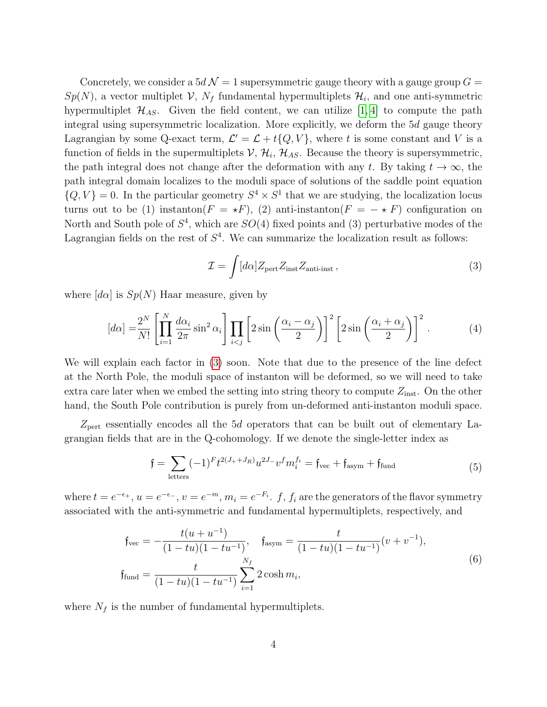Concretely, we consider a  $5d \mathcal{N} = 1$  supersymmetric gauge theory with a gauge group  $G =$  $Sp(N)$ , a vector multiplet  $\mathcal V$ ,  $N_f$  fundamental hypermultiplets  $\mathcal H_i$ , and one anti-symmetric hypermultiplet  $\mathcal{H}_{AS}$ . Given the field content, we can utilize [\[1,](#page-19-0) [4\]](#page-20-0) to compute the path integral using supersymmetric localization. More explicitly, we deform the 5d gauge theory Lagrangian by some Q-exact term,  $\mathcal{L}' = \mathcal{L} + t\{Q, V\}$ , where t is some constant and V is a function of fields in the supermultiplets  $V, H_i, H_{AS}$ . Because the theory is supersymmetric, the path integral does not change after the deformation with any t. By taking  $t \to \infty$ , the path integral domain localizes to the moduli space of solutions of the saddle point equation  $\{Q, V\} = 0$ . In the particular geometry  $S^4 \times S^1$  that we are studying, the localization locus turns out to be (1) instanton( $F = \star F$ ), (2) anti-instanton( $F = - \star F$ ) configuration on North and South pole of  $S<sup>4</sup>$ , which are  $SO(4)$  fixed points and (3) perturbative modes of the Lagrangian fields on the rest of  $S<sup>4</sup>$ . We can summarize the localization result as follows:

<span id="page-4-0"></span>
$$
\mathcal{I} = \int [d\alpha] Z_{\text{pert}} Z_{\text{inst}} Z_{\text{anti-inst}} , \qquad (3)
$$

where  $[d\alpha]$  is  $Sp(N)$  Haar measure, given by

<span id="page-4-1"></span>
$$
[d\alpha] = \frac{2^N}{N!} \left[ \prod_{i=1}^N \frac{d\alpha_i}{2\pi} \sin^2 \alpha_i \right] \prod_{i < j} \left[ 2 \sin \left( \frac{\alpha_i - \alpha_j}{2} \right) \right]^2 \left[ 2 \sin \left( \frac{\alpha_i + \alpha_j}{2} \right) \right]^2. \tag{4}
$$

We will explain each factor in [\(3\)](#page-4-0) soon. Note that due to the presence of the line defect at the North Pole, the moduli space of instanton will be deformed, so we will need to take extra care later when we embed the setting into string theory to compute  $Z_{inst}$ . On the other hand, the South Pole contribution is purely from un-deformed anti-instanton moduli space.

 $Z_{\text{pert}}$  essentially encodes all the 5d operators that can be built out of elementary Lagrangian fields that are in the Q-cohomology. If we denote the single-letter index as

$$
\mathfrak{f} = \sum_{\text{letters}} (-1)^F t^{2(J_+ + J_R)} u^{2J_-} v^f m_i^{f_i} = \mathfrak{f}_{\text{vec}} + \mathfrak{f}_{\text{asym}} + \mathfrak{f}_{\text{fund}}
$$
(5)

where  $t = e^{-\epsilon_+}, u = e^{-\epsilon_-}, v = e^{-m}, m_i = e^{-F_i}$ .  $f, f_i$  are the generators of the flavor symmetry associated with the anti-symmetric and fundamental hypermultiplets, respectively, and

$$
\mathfrak{f}_{\text{vec}} = -\frac{t(u + u^{-1})}{(1 - tu)(1 - tu^{-1})}, \quad \mathfrak{f}_{\text{asym}} = \frac{t}{(1 - tu)(1 - tu^{-1})}(v + v^{-1}),
$$
\n
$$
\mathfrak{f}_{\text{fund}} = \frac{t}{(1 - tu)(1 - tu^{-1})} \sum_{i=1}^{N_f} 2 \cosh m_i,
$$
\n(6)

where  $N_f$  is the number of fundamental hypermultiplets.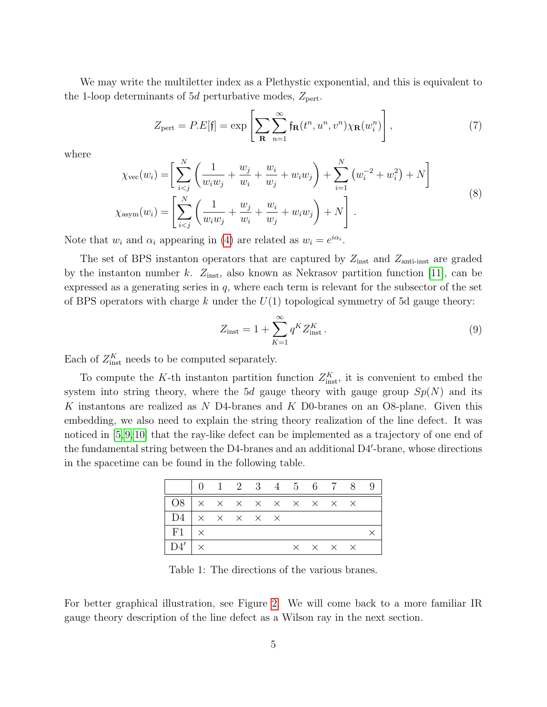We may write the multiletter index as a Plethystic exponential, and this is equivalent to the 1-loop determinants of 5*d* perturbative modes,  $Z_{\text{pert}}$ .

$$
Z_{\text{pert}} = P.E[\mathfrak{f}] = \exp\left[\sum_{\mathbf{R}} \sum_{n=1}^{\infty} \mathfrak{f}_{\mathbf{R}}(t^n, u^n, v^n) \chi_{\mathbf{R}}(w_i^n)\right],\tag{7}
$$

where

$$
\chi_{\text{vec}}(w_i) = \left[ \sum_{i < j}^{N} \left( \frac{1}{w_i w_j} + \frac{w_j}{w_i} + \frac{w_i}{w_j} + w_i w_j \right) + \sum_{i=1}^{N} \left( w_i^{-2} + w_i^2 \right) + N \right] \times \chi_{\text{asym}}(w_i) = \left[ \sum_{i < j}^{N} \left( \frac{1}{w_i w_j} + \frac{w_j}{w_i} + \frac{w_i}{w_j} + w_i w_j \right) + N \right]. \tag{8}
$$

Note that  $w_i$  and  $\alpha_i$  appearing in [\(4\)](#page-4-1) are related as  $w_i = e^{i\alpha_i}$ .

The set of BPS instanton operators that are captured by  $Z_{\text{inst}}$  and  $Z_{\text{anti-inst}}$  are graded by the instanton number k.  $Z_{\text{inst}}$ , also known as Nekrasov partition function [\[11\]](#page-20-5), can be expressed as a generating series in  $q$ , where each term is relevant for the subsector of the set of BPS operators with charge k under the  $U(1)$  topological symmetry of 5d gauge theory:

$$
Z_{\text{inst}} = 1 + \sum_{K=1}^{\infty} q^K Z_{\text{inst}}^K.
$$
 (9)

Each of  $Z_{\text{inst}}^K$  needs to be computed separately.

To compute the K-th instanton partition function  $Z_{\text{inst}}^K$ , it is convenient to embed the system into string theory, where the 5d gauge theory with gauge group  $Sp(N)$  and its K instantons are realized as  $N$  D4-branes and  $K$  D0-branes on an O8-plane. Given this embedding, we also need to explain the string theory realization of the line defect. It was noticed in [\[5,](#page-20-1)[9,](#page-20-6)[10\]](#page-20-7) that the ray-like defect can be implemented as a trajectory of one end of the fundamental string between the D4-branes and an additional D4'-brane, whose directions in the spacetime can be found in the following table.

|                                        | 0 1 2 3 4 5 6 7 8 9 |  |  |                                     |  |  |
|----------------------------------------|---------------------|--|--|-------------------------------------|--|--|
|                                        |                     |  |  |                                     |  |  |
| $D4 \mid x \times x \times x \times x$ |                     |  |  |                                     |  |  |
| $F1 \mid x$                            |                     |  |  |                                     |  |  |
| $D4' \times$                           |                     |  |  | $\times$ $\times$ $\times$ $\times$ |  |  |

Table 1: The directions of the various branes.

For better graphical illustration, see Figure [2.](#page-9-2) We will come back to a more familiar IR gauge theory description of the line defect as a Wilson ray in the next section.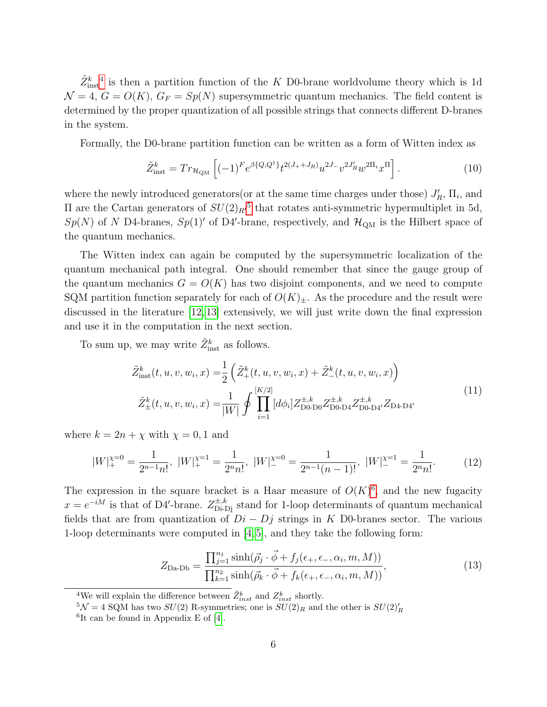$\tilde{Z}^k_{\text{inst}}$ <sup>[4](#page-6-1)</sup> is then a partition function of the K D0-brane worldvolume theory which is 1d  $\mathcal{N} = 4$ ,  $G = O(K)$ ,  $G_F = Sp(N)$  supersymmetric quantum mechanics. The field content is determined by the proper quantization of all possible strings that connects different D-branes in the system.

Formally, the D0-brane partition function can be written as a form of Witten index as

<span id="page-6-0"></span>
$$
\tilde{Z}_{\text{inst}}^k = Tr_{\mathcal{H}_{\text{QM}}} \left[ (-1)^F e^{\beta \{Q, Q^\dagger\}} t^{2(J_+ + J_R)} u^{2J_-} v^{2J'_R} w^{2\Pi_i} x^\Pi \right]. \tag{10}
$$

where the newly introduced generators<br>(or at the same time charges under those)  $J'_R$ ,  $\Pi_i$ , and II are the Cartan generators of  $SU(2)_{R'}$ <sup>[5](#page-6-2)</sup> that rotates anti-symmetric hypermultiplet in 5d,  $Sp(N)$  of N D4-branes,  $Sp(1)'$  of D4'-brane, respectively, and  $\mathcal{H}_{QM}$  is the Hilbert space of the quantum mechanics.

The Witten index can again be computed by the supersymmetric localization of the quantum mechanical path integral. One should remember that since the gauge group of the quantum mechanics  $G = O(K)$  has two disjoint components, and we need to compute SQM partition function separately for each of  $O(K)_\pm$ . As the procedure and the result were discussed in the literature [\[12,](#page-20-8) [13\]](#page-20-9) extensively, we will just write down the final expression and use it in the computation in the next section.

To sum up, we may write  $\tilde{Z}^k_{\text{inst}}$  as follows.

<span id="page-6-4"></span>
$$
\tilde{Z}_{inst}^{k}(t, u, v, w_i, x) = \frac{1}{2} \left( \tilde{Z}_{+}^{k}(t, u, v, w_i, x) + \tilde{Z}_{-}^{k}(t, u, v, w_i, x) \right)
$$
\n
$$
\tilde{Z}_{\pm}^{k}(t, u, v, w_i, x) = \frac{1}{|W|} \oint \prod_{i=1}^{|K/2|} [d\phi_i] Z_{\text{Do-D}0}^{\pm, k} Z_{\text{Do-D}4}^{\pm, k} Z_{\text{Do-D}4'}^{\pm, k} Z_{\text{Da-D}4'}^{\pm, k} \tag{11}
$$

where  $k = 2n + \chi$  with  $\chi = 0, 1$  and

$$
|W|_{+}^{\chi=0} = \frac{1}{2^{n-1}n!}, \ |W|_{+}^{\chi=1} = \frac{1}{2^n n!}, \ |W|_{-}^{\chi=0} = \frac{1}{2^{n-1}(n-1)!}, \ |W|_{-}^{\chi=1} = \frac{1}{2^n n!}.\tag{12}
$$

The expression in the square bracket is a Haar measure of  $O(K)^6$  $O(K)^6$ , and the new fugacity  $x = e^{-iM}$  is that of D4'-brane.  $Z_{\text{Di-Dj}}^{\pm,k}$  stand for 1-loop determinants of quantum mechanical fields that are from quantization of  $Di - Dj$  strings in K D0-branes sector. The various 1-loop determinants were computed in [\[4,](#page-20-0) [5\]](#page-20-1), and they take the following form:

$$
Z_{\text{Da-Db}} = \frac{\prod_{j=1}^{n_1} \sinh(\vec{\rho}_j \cdot \vec{\phi} + f_j(\epsilon_+, \epsilon_-, \alpha_i, m, M))}{\prod_{k=1}^{n_2} \sinh(\vec{\rho}_k \cdot \vec{\phi} + f_k(\epsilon_+, \epsilon_-, \alpha_i, m, M))},
$$
(13)

<span id="page-6-1"></span><sup>&</sup>lt;sup>4</sup>We will explain the difference between  $\tilde{Z}^k_{inst}$  and  $Z^k_{inst}$  shortly.

<span id="page-6-2"></span> $5\mathcal{N}=4$  SQM has two  $SU(2)$  R-symmetries; one is  $SU(2)_R$  and the other is  $SU(2)_R^{\prime}$ 

<span id="page-6-3"></span><sup>6</sup> It can be found in Appendix E of [\[4\]](#page-20-0).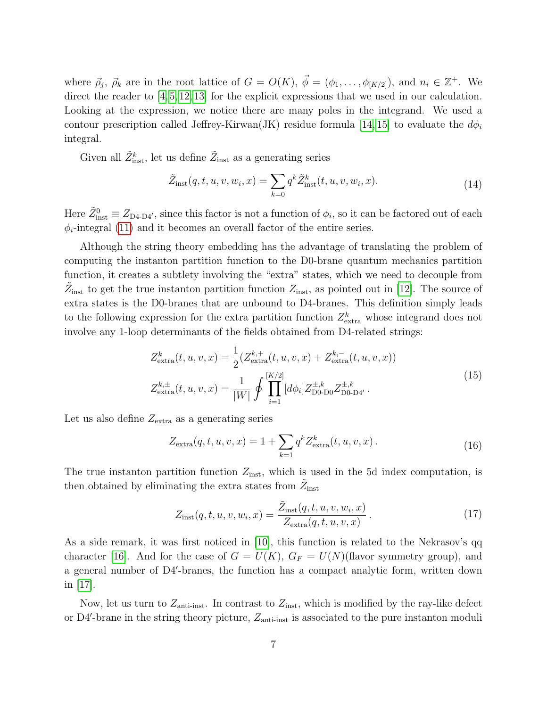where  $\vec{\rho}_j$ ,  $\vec{\rho}_k$  are in the root lattice of  $G = O(K)$ ,  $\vec{\phi} = (\phi_1, \ldots, \phi_{[K/2]}),$  and  $n_i \in \mathbb{Z}^+$ . We direct the reader to [\[4,](#page-20-0) [5,](#page-20-1) [12,](#page-20-8) [13\]](#page-20-9) for the explicit expressions that we used in our calculation. Looking at the expression, we notice there are many poles in the integrand. We used a contour prescription called Jeffrey-Kirwan(JK) residue formula [\[14,](#page-20-10) [15\]](#page-20-11) to evaluate the  $d\phi_i$ integral.

Given all  $\tilde{Z}^k_{\text{inst}}$ , let us define  $\tilde{Z}_{\text{inst}}$  as a generating series

$$
\tilde{Z}_{inst}(q, t, u, v, w_i, x) = \sum_{k=0} q^k \tilde{Z}_{inst}^k(t, u, v, w_i, x).
$$
\n(14)

Here  $\tilde{Z}^0_{inst} \equiv Z_{\text{D4-D4}'},$  since this factor is not a function of  $\phi_i$ , so it can be factored out of each  $\phi_i$ -integral [\(11\)](#page-6-4) and it becomes an overall factor of the entire series.

Although the string theory embedding has the advantage of translating the problem of computing the instanton partition function to the D0-brane quantum mechanics partition function, it creates a subtlety involving the "extra" states, which we need to decouple from  $\tilde{Z}_{inst}$  to get the true instanton partition function  $Z_{inst}$ , as pointed out in [\[12\]](#page-20-8). The source of extra states is the D0-branes that are unbound to D4-branes. This definition simply leads to the following expression for the extra partition function  $Z_{\text{extra}}^k$  whose integrand does not involve any 1-loop determinants of the fields obtained from D4-related strings:

$$
Z_{\text{extra}}^{k}(t, u, v, x) = \frac{1}{2} (Z_{\text{extra}}^{k,+}(t, u, v, x) + Z_{\text{extra}}^{k,-}(t, u, v, x))
$$
  

$$
Z_{\text{extra}}^{k,\pm}(t, u, v, x) = \frac{1}{|W|} \oint \prod_{i=1}^{|K/2|} [d\phi_i] Z_{\text{D0-D0}}^{\pm,k} Z_{\text{D0-D4}}^{\pm,k}.
$$
 (15)

Let us also define  $Z_{\text{extra}}$  as a generating series

$$
Z_{\text{extra}}(q, t, u, v, x) = 1 + \sum_{k=1} q^k Z_{\text{extra}}^k(t, u, v, x).
$$
 (16)

The true instanton partition function  $Z_{inst}$ , which is used in the 5d index computation, is then obtained by eliminating the extra states from  $\tilde{Z}_{\text{inst}}$ 

$$
Z_{\text{inst}}(q, t, u, v, w_i, x) = \frac{\tilde{Z}_{\text{inst}}(q, t, u, v, w_i, x)}{Z_{\text{extra}}(q, t, u, v, x)}.
$$
\n(17)

As a side remark, it was first noticed in [\[10\]](#page-20-7), this function is related to the Nekrasov's qq character [\[16\]](#page-20-12). And for the case of  $G = U(K)$ ,  $G_F = U(N)$ (flavor symmetry group), and a general number of D4'-branes, the function has a compact analytic form, written down in [\[17\]](#page-21-0).

Now, let us turn to  $Z_{\text{anti-inst}}$ . In contrast to  $Z_{\text{inst}}$ , which is modified by the ray-like defect or D4'-brane in the string theory picture,  $Z_{\text{anti-inst}}$  is associated to the pure instanton moduli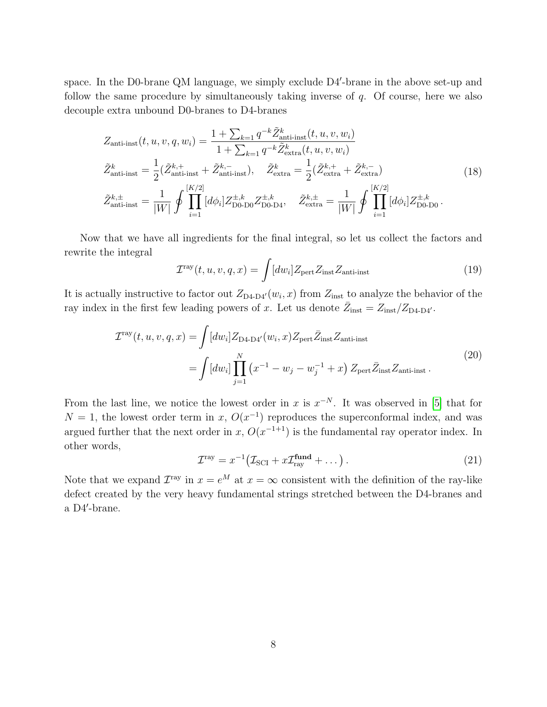space. In the D0-brane QM language, we simply exclude D4'-brane in the above set-up and follow the same procedure by simultaneously taking inverse of  $q$ . Of course, here we also decouple extra unbound D0-branes to D4-branes

$$
Z_{\text{anti-inst}}(t, u, v, q, w_i) = \frac{1 + \sum_{k=1} q^{-k} \tilde{Z}_{\text{anti-inst}}^k(t, u, v, w_i)}{1 + \sum_{k=1} q^{-k} \tilde{Z}_{\text{extra}}^k(t, u, v, w_i)}
$$
  
\n
$$
\tilde{Z}_{\text{anti-inst}}^k = \frac{1}{2} (\tilde{Z}_{\text{anti-inst}}^{k,+} + \tilde{Z}_{\text{anti-inst}}^{k,-}), \quad \tilde{Z}_{\text{extra}}^k = \frac{1}{2} (\tilde{Z}_{\text{extra}}^{k,+} + \tilde{Z}_{\text{extra}}^{k,-})
$$
  
\n
$$
\tilde{Z}_{\text{anti-inst}}^{k,\pm} = \frac{1}{|W|} \oint \prod_{i=1}^{|K/2|} [d\phi_i] Z_{\text{D0-D0}}^{\pm,k} Z_{\text{D0-D4}}^{\pm,k}, \quad \tilde{Z}_{\text{extra}}^{k,\pm} = \frac{1}{|W|} \oint \prod_{i=1}^{|K/2|} [d\phi_i] Z_{\text{D0-D0}}^{\pm,k}.
$$
\n(18)

Now that we have all ingredients for the final integral, so let us collect the factors and rewrite the integral

<span id="page-8-2"></span>
$$
\mathcal{I}^{\text{ray}}(t, u, v, q, x) = \int [dw_i] Z_{\text{pert}} Z_{\text{inst}} Z_{\text{anti-inst}} \tag{19}
$$

It is actually instructive to factor out  $Z_{\text{D4-D4}'}(w_i, x)$  from  $Z_{\text{inst}}$  to analyze the behavior of the ray index in the first few leading powers of x. Let us denote  $\bar{Z}_{inst} = Z_{inst}/Z_{\text{D4-D4}}$ .

<span id="page-8-1"></span>
$$
\mathcal{I}^{\text{ray}}(t, u, v, q, x) = \int [dw_i] Z_{\text{D4-D4}'}(w_i, x) Z_{\text{pert}} \bar{Z}_{\text{inst}} Z_{\text{anti-inst}}
$$
  
= 
$$
\int [dw_i] \prod_{j=1}^N (x^{-1} - w_j - w_j^{-1} + x) Z_{\text{pert}} \bar{Z}_{\text{inst}} Z_{\text{anti-inst}}.
$$
 (20)

From the last line, we notice the lowest order in x is  $x^{-N}$ . It was observed in [\[5\]](#page-20-1) that for  $N = 1$ , the lowest order term in x,  $O(x^{-1})$  reproduces the superconformal index, and was argued further that the next order in x,  $O(x^{-1+1})$  is the fundamental ray operator index. In other words,

<span id="page-8-0"></span>
$$
\mathcal{I}^{\text{ray}} = x^{-1} \big( \mathcal{I}_{\text{SCI}} + x \mathcal{I}_{\text{ray}}^{\text{fund}} + \dots \big) \,. \tag{21}
$$

Note that we expand  $\mathcal{I}^{\text{ray}}$  in  $x = e^M$  at  $x = \infty$  consistent with the definition of the ray-like defect created by the very heavy fundamental strings stretched between the D4-branes and  $a$  D4'-brane.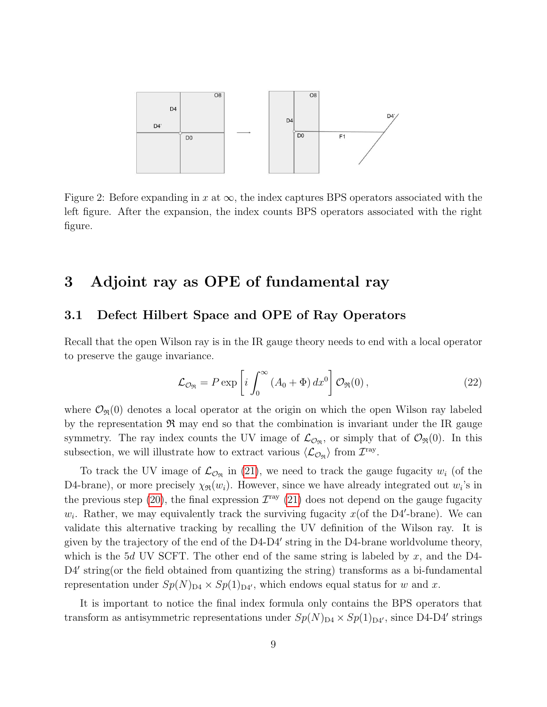<span id="page-9-2"></span>

Figure 2: Before expanding in x at  $\infty$ , the index captures BPS operators associated with the left figure. After the expansion, the index counts BPS operators associated with the right figure.

# <span id="page-9-0"></span>3 Adjoint ray as OPE of fundamental ray

### <span id="page-9-1"></span>3.1 Defect Hilbert Space and OPE of Ray Operators

Recall that the open Wilson ray is in the IR gauge theory needs to end with a local operator to preserve the gauge invariance.

$$
\mathcal{L}_{\mathcal{O}_{\mathfrak{R}}} = P \exp \left[ i \int_0^\infty \left( A_0 + \Phi \right) dx^0 \right] \mathcal{O}_{\mathfrak{R}}(0) , \qquad (22)
$$

where  $\mathcal{O}_{\mathfrak{R}}(0)$  denotes a local operator at the origin on which the open Wilson ray labeled by the representation  $\Re$  may end so that the combination is invariant under the IR gauge symmetry. The ray index counts the UV image of  $\mathcal{L}_{\mathcal{O}_{\mathfrak{R}}}$ , or simply that of  $\mathcal{O}_{\mathfrak{R}}(0)$ . In this subsection, we will illustrate how to extract various  $\langle \mathcal{L}_{\mathcal{O}_{\mathfrak{R}}} \rangle$  from  $\mathcal{I}^{\text{ray}}$ .

To track the UV image of  $\mathcal{L}_{\mathcal{O}_{\Re}}$  in [\(21\)](#page-8-0), we need to track the gauge fugacity  $w_i$  (of the D4-brane), or more precisely  $\chi_{\Re}(w_i)$ . However, since we have already integrated out  $w_i$ 's in the previous step [\(20\)](#page-8-1), the final expression  $\mathcal{I}^{\text{ray}}$  [\(21\)](#page-8-0) does not depend on the gauge fugacity  $w_i$ . Rather, we may equivalently track the surviving fugacity  $x($ of the D4'-brane). We can validate this alternative tracking by recalling the UV definition of the Wilson ray. It is given by the trajectory of the end of the D4-D4' string in the D4-brane worldvolume theory, which is the 5d UV SCFT. The other end of the same string is labeled by  $x$ , and the D4-D4' string(or the field obtained from quantizing the string) transforms as a bi-fundamental representation under  $Sp(N)_{\text{D4}} \times Sp(1)_{\text{D4}}$ , which endows equal status for w and x.

It is important to notice the final index formula only contains the BPS operators that transform as antisymmetric representations under  $Sp(N)_{\text{D}4} \times Sp(1)_{\text{D}4}$ , since D4-D4' strings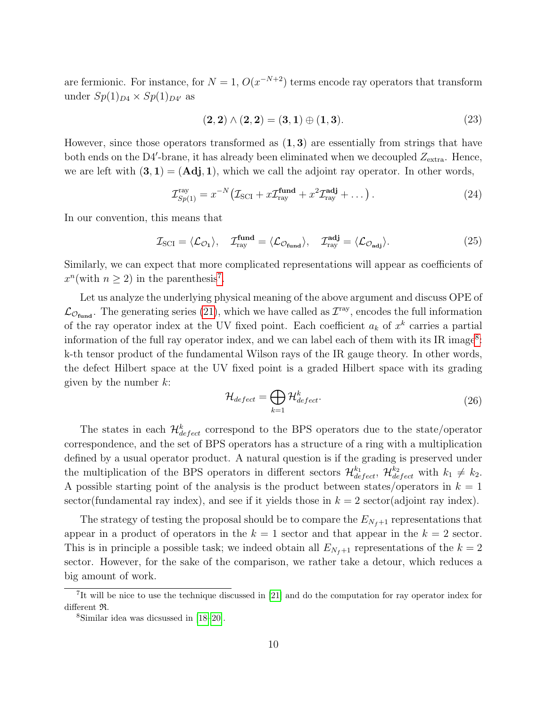are fermionic. For instance, for  $N=1$ ,  $O(x^{-N+2})$  terms encode ray operators that transform under  $Sp(1)_{D4} \times Sp(1)_{D4'}$  as

$$
(2,2) \wedge (2,2) = (3,1) \oplus (1,3). \tag{23}
$$

However, since those operators transformed as  $(1, 3)$  are essentially from strings that have both ends on the D4'-brane, it has already been eliminated when we decoupled  $Z_{\text{extra}}$ . Hence, we are left with  $(3, 1) = (Adj, 1)$ , which we call the adjoint ray operator. In other words,

$$
\mathcal{I}_{Sp(1)}^{\text{ray}} = x^{-N} \left( \mathcal{I}_{\text{SCI}} + x \mathcal{I}_{\text{ray}}^{\text{fund}} + x^2 \mathcal{I}_{\text{ray}}^{\text{adj}} + \dots \right). \tag{24}
$$

In our convention, this means that

$$
\mathcal{I}_{\text{SCI}} = \langle \mathcal{L}_{\mathcal{O}_1} \rangle, \quad \mathcal{I}_{\text{ray}}^{\text{fund}} = \langle \mathcal{L}_{\mathcal{O}_{\text{fund}}} \rangle, \quad \mathcal{I}_{\text{ray}}^{\text{adj}} = \langle \mathcal{L}_{\mathcal{O}_{\text{adj}}} \rangle.
$$
 (25)

Similarly, we can expect that more complicated representations will appear as coefficients of  $x^n$ (with  $n \geq 2$ ) in the parenthesis<sup>[7](#page-10-0)</sup>.

Let us analyze the underlying physical meaning of the above argument and discuss OPE of  $\mathcal{L}_{\mathcal{O}_{\text{fund}}}$ . The generating series [\(21\)](#page-8-0), which we have called as  $\mathcal{I}^{\text{ray}}$ , encodes the full information of the ray operator index at the UV fixed point. Each coefficient  $a_k$  of  $x^k$  carries a partial information of the full ray operator index, and we can label each of them with its IR image<sup>[8](#page-10-1)</sup>: k-th tensor product of the fundamental Wilson rays of the IR gauge theory. In other words, the defect Hilbert space at the UV fixed point is a graded Hilbert space with its grading given by the number  $k$ :

$$
\mathcal{H}_{defect} = \bigoplus_{k=1} \mathcal{H}_{defect}^k.
$$
\n(26)

The states in each  $\mathcal{H}^k_{defect}$  correspond to the BPS operators due to the state/operator correspondence, and the set of BPS operators has a structure of a ring with a multiplication defined by a usual operator product. A natural question is if the grading is preserved under the multiplication of the BPS operators in different sectors  $\mathcal{H}_{defect}^{k_1}, \mathcal{H}_{defect}^{k_2}$  with  $k_1 \neq k_2$ . A possible starting point of the analysis is the product between states/operators in  $k = 1$ sector(fundamental ray index), and see if it yields those in  $k = 2$  sector(adjoint ray index).

The strategy of testing the proposal should be to compare the  $E_{N_f+1}$  representations that appear in a product of operators in the  $k = 1$  sector and that appear in the  $k = 2$  sector. This is in principle a possible task; we indeed obtain all  $E_{N_f+1}$  representations of the  $k=2$ sector. However, for the sake of the comparison, we rather take a detour, which reduces a big amount of work.

<span id="page-10-0"></span><sup>&</sup>lt;sup>7</sup>It will be nice to use the technique discussed in [\[21\]](#page-21-1) and do the computation for ray operator index for different R.

<span id="page-10-1"></span><sup>8</sup>Similar idea was dicsussed in [\[18](#page-21-2)[–20\]](#page-21-3).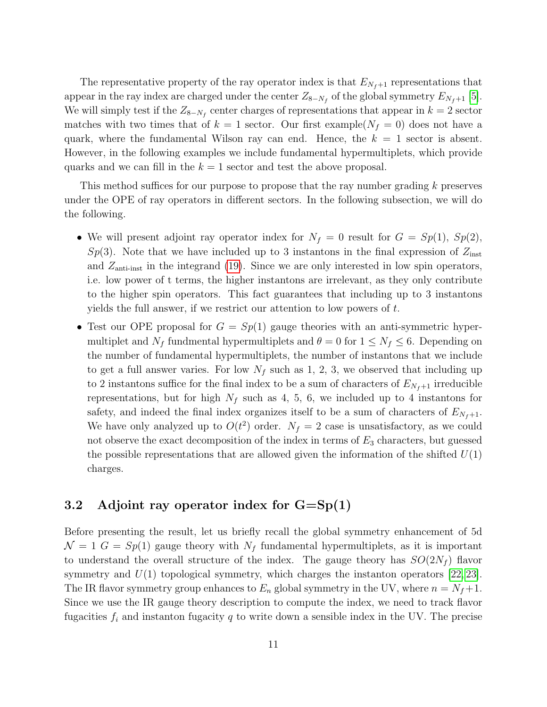The representative property of the ray operator index is that  $E_{N_f+1}$  representations that appear in the ray index are charged under the center  $Z_{8-N_f}$  of the global symmetry  $E_{N_f+1}$  [\[5\]](#page-20-1). We will simply test if the  $Z_{8-N_f}$  center charges of representations that appear in  $k=2$  sector matches with two times that of  $k = 1$  sector. Our first example( $N_f = 0$ ) does not have a quark, where the fundamental Wilson ray can end. Hence, the  $k = 1$  sector is absent. However, in the following examples we include fundamental hypermultiplets, which provide quarks and we can fill in the  $k = 1$  sector and test the above proposal.

This method suffices for our purpose to propose that the ray number grading k preserves under the OPE of ray operators in different sectors. In the following subsection, we will do the following.

- We will present adjoint ray operator index for  $N_f = 0$  result for  $G = Sp(1)$ ,  $Sp(2)$ ,  $Sp(3)$ . Note that we have included up to 3 instantons in the final expression of  $Z_{\text{inst}}$ and  $Z_{\text{anti-inst}}$  in the integrand [\(19\)](#page-8-2). Since we are only interested in low spin operators, i.e. low power of t terms, the higher instantons are irrelevant, as they only contribute to the higher spin operators. This fact guarantees that including up to 3 instantons yields the full answer, if we restrict our attention to low powers of t.
- Test our OPE proposal for  $G = Sp(1)$  gauge theories with an anti-symmetric hypermultiplet and  $N_f$  fundmental hypermultiplets and  $\theta = 0$  for  $1 \le N_f \le 6$ . Depending on the number of fundamental hypermultiplets, the number of instantons that we include to get a full answer varies. For low  $N_f$  such as 1, 2, 3, we observed that including up to 2 instantons suffice for the final index to be a sum of characters of  $E_{N_f+1}$  irreducible representations, but for high  $N_f$  such as 4, 5, 6, we included up to 4 instantons for safety, and indeed the final index organizes itself to be a sum of characters of  $E_{N_f+1}$ . We have only analyzed up to  $O(t^2)$  order.  $N_f = 2$  case is unsatisfactory, as we could not observe the exact decomposition of the index in terms of  $E_3$  characters, but guessed the possible representations that are allowed given the information of the shifted  $U(1)$ charges.

### <span id="page-11-0"></span>3.2 Adjoint ray operator index for  $G = Sp(1)$

Before presenting the result, let us briefly recall the global symmetry enhancement of 5d  $\mathcal{N} = 1$   $G = Sp(1)$  gauge theory with  $N_f$  fundamental hypermultiplets, as it is important to understand the overall structure of the index. The gauge theory has  $SO(2N_f)$  flavor symmetry and  $U(1)$  topological symmetry, which charges the instanton operators [\[22,](#page-21-4) [23\]](#page-21-5). The IR flavor symmetry group enhances to  $E_n$  global symmetry in the UV, where  $n = N_f + 1$ . Since we use the IR gauge theory description to compute the index, we need to track flavor fugacities  $f_i$  and instanton fugacity q to write down a sensible index in the UV. The precise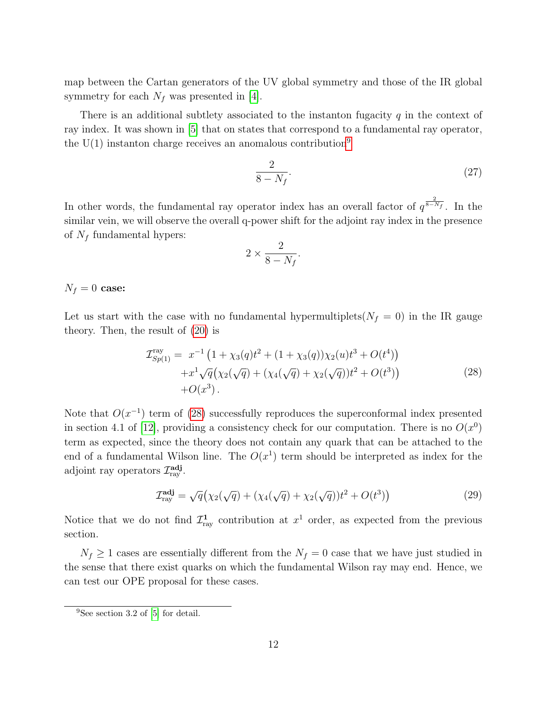map between the Cartan generators of the UV global symmetry and those of the IR global symmetry for each  $N_f$  was presented in [\[4\]](#page-20-0).

There is an additional subtlety associated to the instanton fugacity  $q$  in the context of ray index. It was shown in [\[5\]](#page-20-1) that on states that correspond to a fundamental ray operator, the  $U(1)$  instanton charge receives an anomalous contribution<sup>[9](#page-12-0)</sup>

$$
\frac{2}{8 - N_f}.\tag{27}
$$

In other words, the fundamental ray operator index has an overall factor of  $q^{\frac{2}{8-N_f}}$ . In the similar vein, we will observe the overall q-power shift for the adjoint ray index in the presence of  $N_f$  fundamental hypers:

<span id="page-12-1"></span>
$$
2 \times \frac{2}{8 - N_f}.
$$

 $N_f = 0$  case:

Let us start with the case with no fundamental hypermultiplets( $N_f = 0$ ) in the IR gauge theory. Then, the result of [\(20\)](#page-8-1) is

$$
\mathcal{I}_{Sp(1)}^{ray} = x^{-1} \left( 1 + \chi_3(q) t^2 + (1 + \chi_3(q)) \chi_2(u) t^3 + O(t^4) \right) \n+ x^1 \sqrt{q} \left( \chi_2(\sqrt{q}) + (\chi_4(\sqrt{q}) + \chi_2(\sqrt{q})) t^2 + O(t^3) \right) \n+ O(x^3).
$$
\n(28)

Note that  $O(x^{-1})$  term of [\(28\)](#page-12-1) successfully reproduces the superconformal index presented in section 4.1 of [\[12\]](#page-20-8), providing a consistency check for our computation. There is no  $O(x^0)$ term as expected, since the theory does not contain any quark that can be attached to the end of a fundamental Wilson line. The  $O(x^1)$  term should be interpreted as index for the adjoint ray operators  $\mathcal{I}^{\text{adj}}_{\text{ray}}$ .

$$
\mathcal{I}_{\text{ray}}^{\text{adj}} = \sqrt{q} \big( \chi_2(\sqrt{q}) + (\chi_4(\sqrt{q}) + \chi_2(\sqrt{q}))t^2 + O(t^3) \big) \tag{29}
$$

Notice that we do not find  $\mathcal{I}^1_{\text{ray}}$  contribution at  $x^1$  order, as expected from the previous section.

 $N_f \geq 1$  cases are essentially different from the  $N_f = 0$  case that we have just studied in the sense that there exist quarks on which the fundamental Wilson ray may end. Hence, we can test our OPE proposal for these cases.

<span id="page-12-0"></span><sup>&</sup>lt;sup>9</sup>See section 3.2 of [\[5\]](#page-20-1) for detail.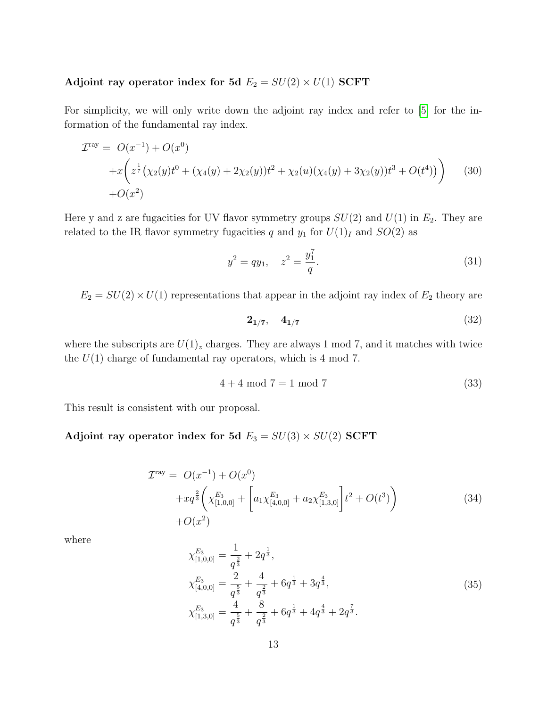# Adjoint ray operator index for 5d  $E_2 = SU(2) \times U(1)$  SCFT

For simplicity, we will only write down the adjoint ray index and refer to [\[5\]](#page-20-1) for the information of the fundamental ray index.

$$
\mathcal{I}^{\text{ray}} = O(x^{-1}) + O(x^0)
$$
  
+ $x \left( z^{\frac{1}{7}} (\chi_2(y)t^0 + (\chi_4(y) + 2\chi_2(y))t^2 + \chi_2(u)(\chi_4(y) + 3\chi_2(y))t^3 + O(t^4)) \right)$  (30)  
+ $O(x^2)$ 

Here y and z are fugacities for UV flavor symmetry groups  $SU(2)$  and  $U(1)$  in  $E_2$ . They are related to the IR flavor symmetry fugacities q and  $y_1$  for  $U(1)_I$  and  $SO(2)$  as

$$
y^2 = qy_1, \quad z^2 = \frac{y_1^7}{q}.\tag{31}
$$

 $E_2 = SU(2) \times U(1)$  representations that appear in the adjoint ray index of  $E_2$  theory are

$$
2_{1/7}, \quad 4_{1/7} \tag{32}
$$

where the subscripts are  $U(1)_z$  charges. They are always 1 mod 7, and it matches with twice the  $U(1)$  charge of fundamental ray operators, which is 4 mod 7.

$$
4 + 4 \mod 7 = 1 \mod 7 \tag{33}
$$

This result is consistent with our proposal.

### Adjoint ray operator index for 5d  $E_3 = SU(3) \times SU(2)$  SCFT

$$
\mathcal{I}^{\text{ray}} = O(x^{-1}) + O(x^{0})
$$
  
+ $xq^{\frac{2}{3}} \left( \chi_{[1,0,0]}^{E_3} + \left[ a_1 \chi_{[4,0,0]}^{E_3} + a_2 \chi_{[1,3,0]}^{E_3} \right] t^2 + O(t^3) \right)$  (34)  
+ $O(x^2)$ 

where

$$
\chi_{[1,0,0]}^{E_3} = \frac{1}{q^{\frac{2}{3}}} + 2q^{\frac{1}{3}},
$$
\n
$$
\chi_{[4,0,0]}^{E_3} = \frac{2}{q^{\frac{5}{3}}} + \frac{4}{q^{\frac{2}{3}}} + 6q^{\frac{1}{3}} + 3q^{\frac{4}{3}},
$$
\n
$$
\chi_{[1,3,0]}^{E_3} = \frac{4}{q^{\frac{5}{3}}} + \frac{8}{q^{\frac{2}{3}}} + 6q^{\frac{1}{3}} + 4q^{\frac{4}{3}} + 2q^{\frac{7}{3}}.
$$
\n(35)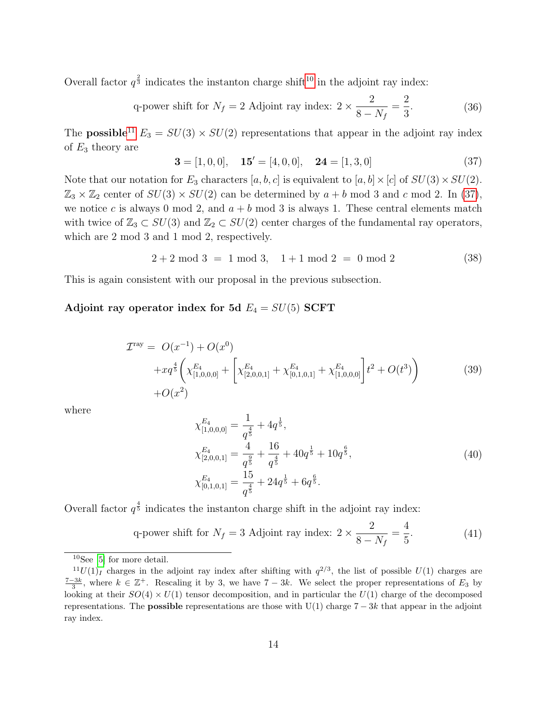Overall factor  $q^{\frac{2}{3}}$  indicates the instanton charge shift<sup>[10](#page-14-0)</sup> in the adjoint ray index:

q-power shift for 
$$
N_f = 2
$$
 Adjoint ray index:  $2 \times \frac{2}{8 - N_f} = \frac{2}{3}$ . (36)

The **possible**<sup>[11](#page-14-1)</sup>  $E_3 = SU(3) \times SU(2)$  representations that appear in the adjoint ray index of  $E_3$  theory are

<span id="page-14-2"></span>
$$
\mathbf{3} = [1, 0, 0], \quad \mathbf{15'} = [4, 0, 0], \quad \mathbf{24} = [1, 3, 0]
$$
\n
$$
(37)
$$

Note that our notation for  $E_3$  characters  $[a, b, c]$  is equivalent to  $[a, b] \times [c]$  of  $SU(3) \times SU(2)$ .  $\mathbb{Z}_3 \times \mathbb{Z}_2$  center of  $SU(3) \times SU(2)$  can be determined by  $a + b \mod 3$  and c mod 2. In [\(37\)](#page-14-2), we notice c is always 0 mod 2, and  $a + b$  mod 3 is always 1. These central elements match with twice of  $\mathbb{Z}_3 \subset SU(3)$  and  $\mathbb{Z}_2 \subset SU(2)$  center charges of the fundamental ray operators, which are 2 mod 3 and 1 mod 2, respectively.

$$
2 + 2 \mod 3 = 1 \mod 3, \quad 1 + 1 \mod 2 = 0 \mod 2 \tag{38}
$$

This is again consistent with our proposal in the previous subsection.

#### Adjoint ray operator index for 5d  $E_4 = SU(5)$  SCFT

$$
\mathcal{I}^{\text{ray}} = O(x^{-1}) + O(x^{0})
$$
  
+ $xq^{\frac{4}{5}} \left( \chi_{[1,0,0,0]}^{E_4} + \left[ \chi_{[2,0,0,1]}^{E_4} + \chi_{[0,1,0,1]}^{E_4} + \chi_{[1,0,0,0]}^{E_4} \right] t^2 + O(t^3) \right)$   
+ $O(x^2)$  (39)

where

$$
\chi_{[1,0,0,0]}^{E_4} = \frac{1}{q^{\frac{4}{5}}} + 4q^{\frac{1}{5}},
$$
\n
$$
\chi_{[2,0,0,1]}^{E_4} = \frac{4}{q^{\frac{9}{5}}} + \frac{16}{q^{\frac{4}{5}}} + 40q^{\frac{1}{5}} + 10q^{\frac{6}{5}},
$$
\n
$$
\chi_{[0,1,0,1]}^{E_4} = \frac{15}{q^{\frac{4}{5}}} + 24q^{\frac{1}{5}} + 6q^{\frac{6}{5}}.
$$
\n(40)

Overall factor  $q^{\frac{4}{5}}$  indicates the instanton charge shift in the adjoint ray index:

q-power shift for 
$$
N_f = 3
$$
 Adjoint ray index:  $2 \times \frac{2}{8 - N_f} = \frac{4}{5}$ . (41)

<span id="page-14-1"></span><span id="page-14-0"></span> $10$ See [\[5\]](#page-20-1) for more detail.

 $^{11}U(1)_I$  charges in the adjoint ray index after shifting with  $q^{2/3}$ , the list of possible  $U(1)$  charges are  $\frac{7-3k}{3}$ , where  $k \in \mathbb{Z}^+$ . Rescaling it by 3, we have  $7-3k$ . We select the proper representations of  $E_3$  by looking at their  $SO(4) \times U(1)$  tensor decomposition, and in particular the  $U(1)$  charge of the decomposed representations. The **possible** representations are those with  $U(1)$  charge  $7 - 3k$  that appear in the adjoint ray index.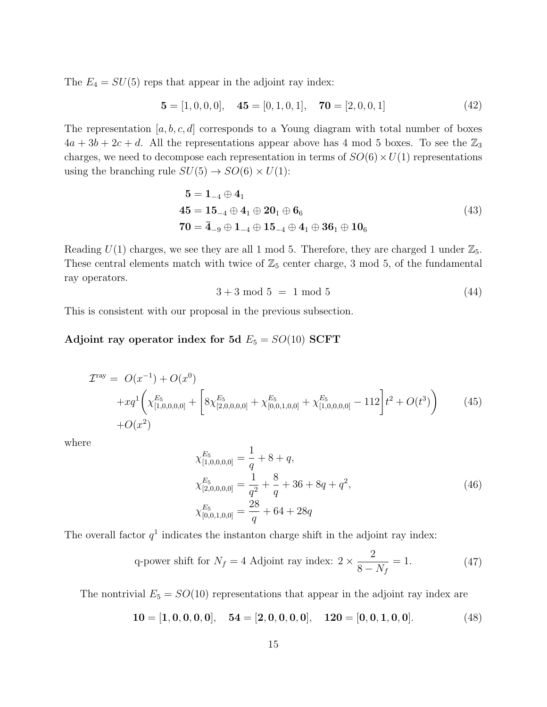The  $E_4 = SU(5)$  reps that appear in the adjoint ray index:

$$
\mathbf{5} = [1, 0, 0, 0], \quad \mathbf{45} = [0, 1, 0, 1], \quad \mathbf{70} = [2, 0, 0, 1]
$$
(42)

The representation  $[a, b, c, d]$  corresponds to a Young diagram with total number of boxes  $4a + 3b + 2c + d$ . All the representations appear above has 4 mod 5 boxes. To see the  $\mathbb{Z}_3$ charges, we need to decompose each representation in terms of  $SO(6) \times U(1)$  representations using the branching rule  $SU(5) \rightarrow SO(6) \times U(1)$ :

$$
5 = 1_{-4} \oplus 4_1
$$
  
\n
$$
45 = 15_{-4} \oplus 4_1 \oplus 20_1 \oplus 6_6
$$
  
\n
$$
70 = \bar{4}_{-9} \oplus 1_{-4} \oplus 15_{-4} \oplus 4_1 \oplus 36_1 \oplus 10_6
$$
\n(43)

Reading  $U(1)$  charges, we see they are all 1 mod 5. Therefore, they are charged 1 under  $\mathbb{Z}_5$ . These central elements match with twice of  $\mathbb{Z}_5$  center charge, 3 mod 5, of the fundamental ray operators.

$$
3 + 3 \mod 5 = 1 \mod 5 \tag{44}
$$

This is consistent with our proposal in the previous subsection.

#### Adjoint ray operator index for 5d  $E_5 = SO(10)$  SCFT

$$
\mathcal{I}^{\text{ray}} = O(x^{-1}) + O(x^{0})
$$
  
+ $xq^{1} \left( \chi_{[1,0,0,0,0]}^{E_{5}} + \left[ 8 \chi_{[2,0,0,0,0]}^{E_{5}} + \chi_{[0,0,1,0,0]}^{E_{5}} + \chi_{[1,0,0,0,0]}^{E_{5}} - 112 \right] t^{2} + O(t^{3}) \right)$  (45)  
+ $O(x^{2})$ 

where

$$
\chi_{[1,0,0,0,0]}^{E_5} = \frac{1}{q} + 8 + q,
$$
\n
$$
\chi_{[2,0,0,0,0]}^{E_5} = \frac{1}{q^2} + \frac{8}{q} + 36 + 8q + q^2,
$$
\n
$$
\chi_{[0,0,1,0,0]}^{E_5} = \frac{28}{q} + 64 + 28q
$$
\n(46)

The overall factor  $q<sup>1</sup>$  indicates the instanton charge shift in the adjoint ray index:

<span id="page-15-0"></span>q-power shift for 
$$
N_f = 4
$$
 Adjoint ray index:  $2 \times \frac{2}{8 - N_f} = 1.$  (47)

The nontrivial  $E_5 = SO(10)$  representations that appear in the adjoint ray index are

<span id="page-15-1"></span>
$$
10 = [1, 0, 0, 0, 0], \quad 54 = [2, 0, 0, 0, 0], \quad 120 = [0, 0, 1, 0, 0]. \tag{48}
$$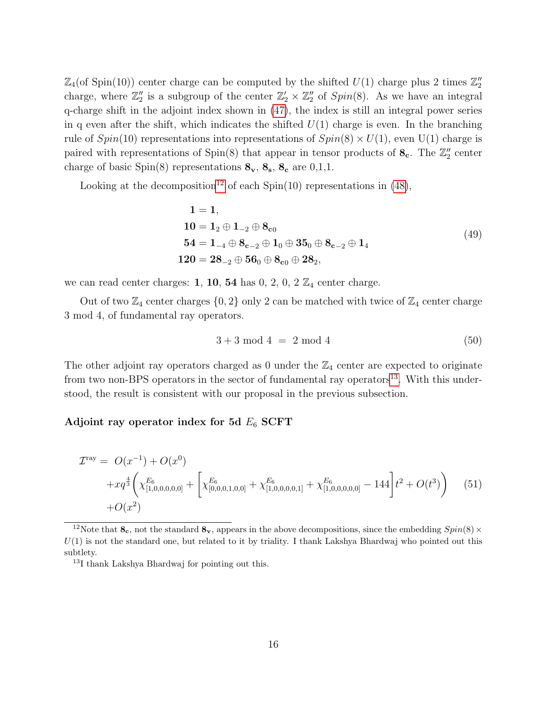$\mathbb{Z}_4$ (of Spin(10)) center charge can be computed by the shifted  $U(1)$  charge plus 2 times  $\mathbb{Z}_2''$ charge, where  $\mathbb{Z}_2''$  is a subgroup of the center  $\mathbb{Z}_2' \times \mathbb{Z}_2''$  of  $Spin(8)$ . As we have an integral q-charge shift in the adjoint index shown in [\(47\)](#page-15-0), the index is still an integral power series in q even after the shift, which indicates the shifted  $U(1)$  charge is even. In the branching rule of  $Spin(10)$  representations into representations of  $Spin(8) \times U(1)$ , even U(1) charge is paired with representations of  $Spin(8)$  that appear in tensor products of  $\mathbf{8}_{c}$ . The  $\mathbb{Z}_{2}^{n}$  center charge of basic Spin(8) representations  $\mathbf{8}_{\mathbf{v}}, \mathbf{8}_{\mathbf{s}}, \mathbf{8}_{\mathbf{c}}$  are 0,1,1.

Looking at the decomposition<sup>[12](#page-16-0)</sup> of each Spin(10) representations in [\(48\)](#page-15-1),

$$
1 = 1,\n10 = 12 \oplus 1-2 \oplus 8c0\n54 = 1-4 \oplus 8c-2 \oplus 10 \oplus 350 \oplus 8c-2 \oplus 14
$$
\n(49)  
\n120 = 28<sub>-2</sub> \oplus 56<sub>0</sub> \oplus 8<sub>c0</sub> \oplus 28<sub>2</sub>,

we can read center charges: 1, 10, 54 has 0, 2, 0, 2  $\mathbb{Z}_4$  center charge.

Out of two  $\mathbb{Z}_4$  center charges  $\{0,2\}$  only 2 can be matched with twice of  $\mathbb{Z}_4$  center charge 3 mod 4, of fundamental ray operators.

$$
3 + 3 \mod 4 = 2 \mod 4 \tag{50}
$$

The other adjoint ray operators charged as 0 under the  $\mathbb{Z}_4$  center are expected to originate from two non-BPS operators in the sector of fundamental ray operators<sup>[13](#page-16-1)</sup>. With this understood, the result is consistent with our proposal in the previous subsection.

#### Adjoint ray operator index for 5d  $E_6$  SCFT

$$
\mathcal{I}^{\text{ray}} = O(x^{-1}) + O(x^{0})
$$
  
+ $xq^{\frac{4}{3}} \left( \chi_{[1,0,0,0,0,0]}^{E_6} + \left[ \chi_{[0,0,0,1,0,0]}^{E_6} + \chi_{[1,0,0,0,0,1]}^{E_6} + \chi_{[1,0,0,0,0,0]}^{E_6} - 144 \right] t^2 + O(t^3) \right)$  (51)  
+ $O(x^2)$ 

<span id="page-16-0"></span><sup>&</sup>lt;sup>12</sup>Note that  $\mathbf{8_c}$ , not the standard  $\mathbf{8_v}$ , appears in the above decompositions, since the embedding  $Spin(8) \times$  $U(1)$  is not the standard one, but related to it by triality. I thank Lakshya Bhardwaj who pointed out this subtlety.

<span id="page-16-1"></span><sup>&</sup>lt;sup>13</sup>I thank Lakshya Bhardwaj for pointing out this.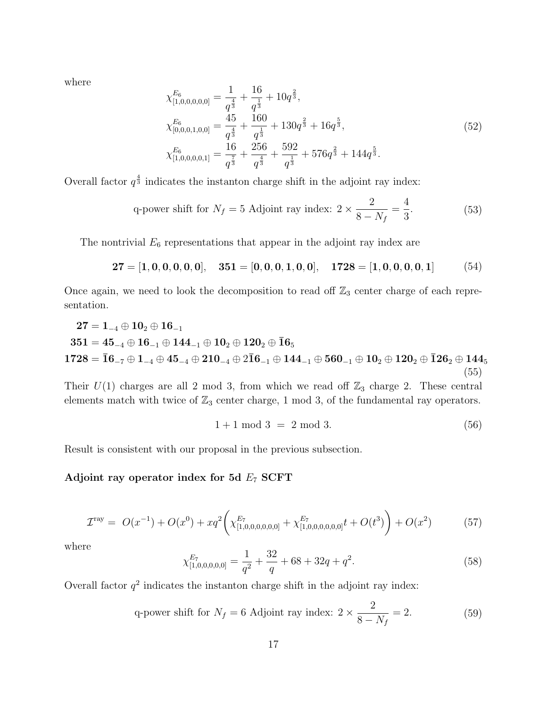where

$$
\chi_{[1,0,0,0,0,0]}^{E_6} = \frac{1}{q^{\frac{4}{3}}} + \frac{16}{q^{\frac{1}{3}}} + 10q^{\frac{2}{3}},
$$
\n
$$
\chi_{[0,0,0,1,0,0]}^{E_6} = \frac{45}{q^{\frac{4}{3}}} + \frac{160}{q^{\frac{1}{3}}} + 130q^{\frac{2}{3}} + 16q^{\frac{5}{3}},
$$
\n
$$
\chi_{[1,0,0,0,0,1]}^{E_6} = \frac{16}{q^{\frac{7}{3}}} + \frac{256}{q^{\frac{4}{3}}} + \frac{592}{q^{\frac{1}{3}}} + 576q^{\frac{2}{3}} + 144q^{\frac{5}{3}}.
$$
\n(52)

Overall factor  $q^{\frac{4}{3}}$  indicates the instanton charge shift in the adjoint ray index:

q-power shift for 
$$
N_f = 5
$$
 Adjoint ray index:  $2 \times \frac{2}{8 - N_f} = \frac{4}{3}$ . (53)

The nontrivial  $E_6$  representations that appear in the adjoint ray index are

$$
27 = [1, 0, 0, 0, 0, 0], \quad 351 = [0, 0, 0, 1, 0, 0], \quad 1728 = [1, 0, 0, 0, 0, 1]
$$
(54)

Once again, we need to look the decomposition to read off  $\mathbb{Z}_3$  center charge of each representation.

$$
27 = 1_{-4} \oplus 10_{2} \oplus 16_{-1}
$$
  
\n
$$
351 = 45_{-4} \oplus 16_{-1} \oplus 144_{-1} \oplus 10_{2} \oplus 120_{2} \oplus \bar{1}6_{5}
$$
  
\n
$$
1728 = \bar{1}6_{-7} \oplus 1_{-4} \oplus 45_{-4} \oplus 210_{-4} \oplus 2\bar{1}6_{-1} \oplus 144_{-1} \oplus 560_{-1} \oplus 10_{2} \oplus 120_{2} \oplus \bar{1}26_{2} \oplus 144_{5}
$$
  
\n(55)

Their  $U(1)$  charges are all 2 mod 3, from which we read off  $\mathbb{Z}_3$  charge 2. These central elements match with twice of  $\mathbb{Z}_3$  center charge, 1 mod 3, of the fundamental ray operators.

$$
1 + 1 \mod 3 = 2 \mod 3. \tag{56}
$$

Result is consistent with our proposal in the previous subsection.

### Adjoint ray operator index for 5d  $E_7$  SCFT

$$
\mathcal{I}^{\text{ray}} = O(x^{-1}) + O(x^0) + xq^2 \left( \chi_{[1,0,0,0,0,0,0]}^{E_7} + \chi_{[1,0,0,0,0,0,0]}^{E_7} t + O(t^3) \right) + O(x^2) \tag{57}
$$

where

$$
\chi_{[1,0,0,0,0,0]}^{E_7} = \frac{1}{q^2} + \frac{32}{q} + 68 + 32q + q^2.
$$
\n(58)

Overall factor  $q^2$  indicates the instanton charge shift in the adjoint ray index:

q-power shift for 
$$
N_f = 6
$$
 Adjoint ray index:  $2 \times \frac{2}{8 - N_f} = 2.$  (59)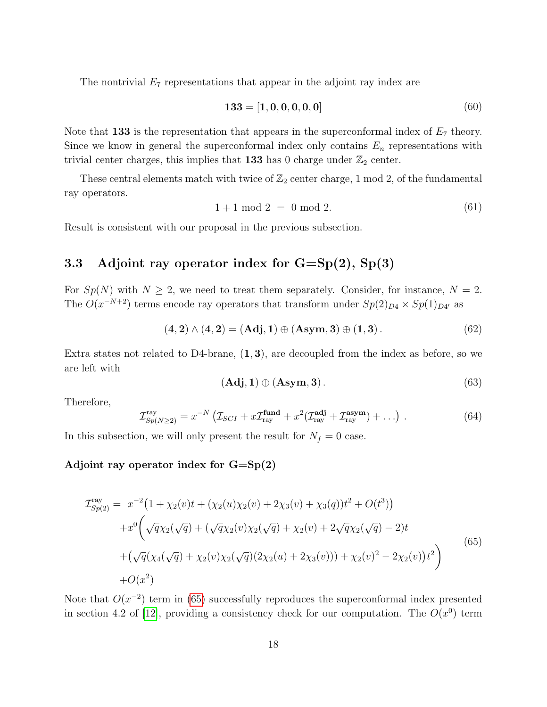The nontrivial  $E_7$  representations that appear in the adjoint ray index are

$$
133 = [1, 0, 0, 0, 0, 0]
$$
\n<sup>(60)</sup>

Note that 133 is the representation that appears in the superconformal index of  $E_7$  theory. Since we know in general the superconformal index only contains  $E_n$  representations with trivial center charges, this implies that 133 has 0 charge under  $\mathbb{Z}_2$  center.

These central elements match with twice of  $\mathbb{Z}_2$  center charge, 1 mod 2, of the fundamental ray operators.

$$
1 + 1 \mod 2 = 0 \mod 2. \tag{61}
$$

Result is consistent with our proposal in the previous subsection.

### <span id="page-18-0"></span>3.3 Adjoint ray operator index for  $G = Sp(2)$ ,  $Sp(3)$

For  $Sp(N)$  with  $N \geq 2$ , we need to treat them separately. Consider, for instance,  $N = 2$ . The  $O(x^{-N+2})$  terms encode ray operators that transform under  $Sp(2)_{D} \times Sp(1)_{D}$  as

$$
(4,2) \wedge (4,2) = (Adj, 1) \oplus (Asym, 3) \oplus (1,3).
$$
 (62)

Extra states not related to D4-brane,  $(1, 3)$ , are decoupled from the index as before, so we are left with

$$
(\mathbf{Adj}, \mathbf{1}) \oplus (\mathbf{Asym}, \mathbf{3}). \tag{63}
$$

Therefore,

$$
\mathcal{I}_{Sp(N\geq 2)}^{\text{ray}} = x^{-N} \left( \mathcal{I}_{SCI} + x \mathcal{I}_{\text{ray}}^{\text{fund}} + x^2 (\mathcal{I}_{\text{ray}}^{\text{adj}} + \mathcal{I}_{\text{ray}}^{\text{asym}}) + \ldots \right) \,. \tag{64}
$$

In this subsection, we will only present the result for  $N_f = 0$  case.

#### Adjoint ray operator index for  $G = Sp(2)$

<span id="page-18-1"></span>
$$
\mathcal{I}_{Sp(2)}^{\text{ray}} = x^{-2} \left( 1 + \chi_2(v)t + (\chi_2(u)\chi_2(v) + 2\chi_3(v) + \chi_3(q))t^2 + O(t^3) \right) \n+ x^0 \left( \sqrt{q}\chi_2(\sqrt{q}) + (\sqrt{q}\chi_2(v)\chi_2(\sqrt{q}) + \chi_2(v) + 2\sqrt{q}\chi_2(\sqrt{q}) - 2)t \right) \n+ (\sqrt{q}(\chi_4(\sqrt{q}) + \chi_2(v)\chi_2(\sqrt{q})(2\chi_2(u) + 2\chi_3(v))) + \chi_2(v)^2 - 2\chi_2(v))t^2 \right) \n+ O(x^2)
$$
\n(65)

Note that  $O(x^{-2})$  term in [\(65\)](#page-18-1) successfully reproduces the superconformal index presented in section 4.2 of [\[12\]](#page-20-8), providing a consistency check for our computation. The  $O(x^0)$  term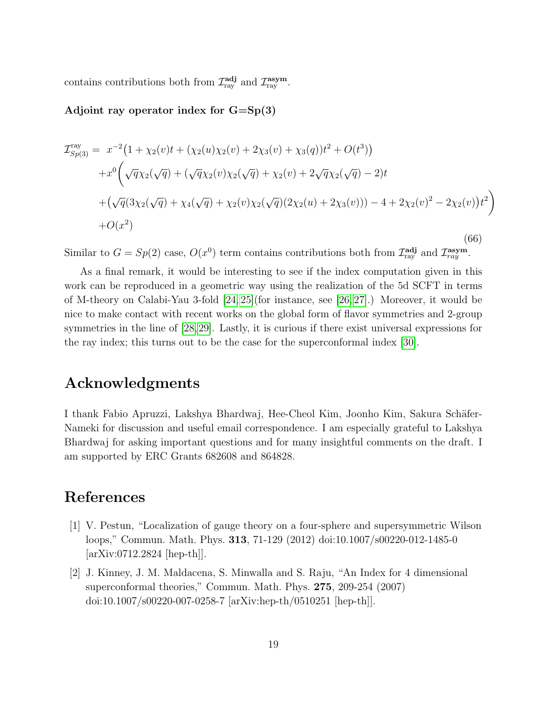contains contributions both from  $\mathcal{I}_{\text{ray}}^{\text{adj}}$  and  $\mathcal{I}_{\text{ray}}^{\text{asym}}$ .

#### Adjoint ray operator index for  $G = Sp(3)$

$$
\mathcal{I}_{Sp(3)}^{\text{ray}} = x^{-2} \left( 1 + \chi_2(v)t + (\chi_2(u)\chi_2(v) + 2\chi_3(v) + \chi_3(q))t^2 + O(t^3) \right)
$$
  
+
$$
x^0 \left( \sqrt{q}\chi_2(\sqrt{q}) + (\sqrt{q}\chi_2(v)\chi_2(\sqrt{q}) + \chi_2(v) + 2\sqrt{q}\chi_2(\sqrt{q}) - 2)t \right)
$$
  
+
$$
\left( \sqrt{q}(3\chi_2(\sqrt{q}) + \chi_4(\sqrt{q}) + \chi_2(v)\chi_2(\sqrt{q})(2\chi_2(u) + 2\chi_3(v))) - 4 + 2\chi_2(v)^2 - 2\chi_2(v)\right)t^2 \right)
$$
  
+
$$
O(x^2)
$$
(66)

Similar to  $G = Sp(2)$  case,  $O(x^0)$  term contains contributions both from  $\mathcal{I}_{ray}^{adj}$  and  $\mathcal{I}_{ray}^{asym}$ .

As a final remark, it would be interesting to see if the index computation given in this work can be reproduced in a geometric way using the realization of the 5d SCFT in terms of M-theory on Calabi-Yau 3-fold [\[24,](#page-21-6) [25\]](#page-21-7)(for instance, see [\[26,](#page-21-8) [27\]](#page-21-9).) Moreover, it would be nice to make contact with recent works on the global form of flavor symmetries and 2-group symmetries in the line of [\[28,](#page-21-10) [29\]](#page-21-11). Lastly, it is curious if there exist universal expressions for the ray index; this turns out to be the case for the superconformal index [\[30\]](#page-21-12).

## Acknowledgments

I thank Fabio Apruzzi, Lakshya Bhardwaj, Hee-Cheol Kim, Joonho Kim, Sakura Schäfer-Nameki for discussion and useful email correspondence. I am especially grateful to Lakshya Bhardwaj for asking important questions and for many insightful comments on the draft. I am supported by ERC Grants 682608 and 864828.

# References

- <span id="page-19-0"></span>[1] V. Pestun, "Localization of gauge theory on a four-sphere and supersymmetric Wilson loops," Commun. Math. Phys. 313, 71-129 (2012) doi:10.1007/s00220-012-1485-0 [arXiv:0712.2824 [hep-th]].
- <span id="page-19-1"></span>[2] J. Kinney, J. M. Maldacena, S. Minwalla and S. Raju, "An Index for 4 dimensional superconformal theories," Commun. Math. Phys. 275, 209-254 (2007) doi:10.1007/s00220-007-0258-7 [arXiv:hep-th/0510251 [hep-th]].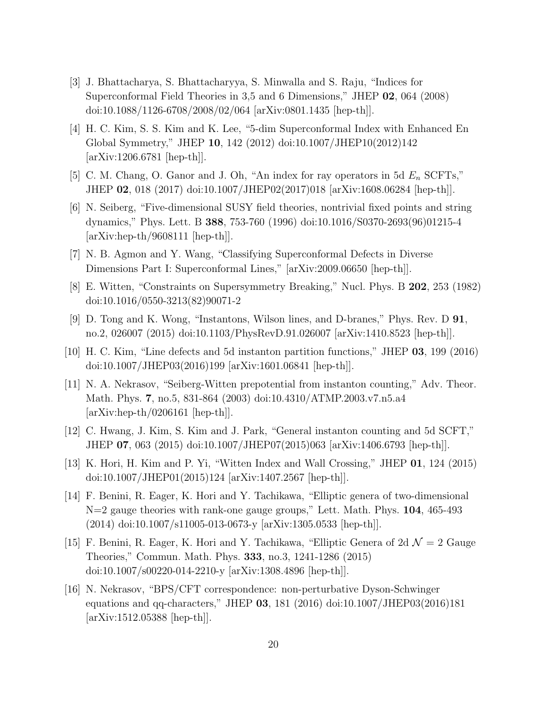- [3] J. Bhattacharya, S. Bhattacharyya, S. Minwalla and S. Raju, "Indices for Superconformal Field Theories in 3,5 and 6 Dimensions," JHEP 02, 064 (2008) doi:10.1088/1126-6708/2008/02/064 [arXiv:0801.1435 [hep-th]].
- <span id="page-20-0"></span>[4] H. C. Kim, S. S. Kim and K. Lee, "5-dim Superconformal Index with Enhanced En Global Symmetry," JHEP 10, 142 (2012) doi:10.1007/JHEP10(2012)142 [arXiv:1206.6781 [hep-th]].
- <span id="page-20-1"></span>[5] C. M. Chang, O. Ganor and J. Oh, "An index for ray operators in 5d  $E_n$  SCFTs," JHEP 02, 018 (2017) doi:10.1007/JHEP02(2017)018 [arXiv:1608.06284 [hep-th]].
- <span id="page-20-2"></span>[6] N. Seiberg, "Five-dimensional SUSY field theories, nontrivial fixed points and string dynamics," Phys. Lett. B 388, 753-760 (1996) doi:10.1016/S0370-2693(96)01215-4 [arXiv:hep-th/9608111 [hep-th]].
- <span id="page-20-3"></span>[7] N. B. Agmon and Y. Wang, "Classifying Superconformal Defects in Diverse Dimensions Part I: Superconformal Lines," [arXiv:2009.06650 [hep-th]].
- <span id="page-20-4"></span>[8] E. Witten, "Constraints on Supersymmetry Breaking," Nucl. Phys. B 202, 253 (1982) doi:10.1016/0550-3213(82)90071-2
- <span id="page-20-6"></span>[9] D. Tong and K. Wong, "Instantons, Wilson lines, and D-branes," Phys. Rev. D 91, no.2, 026007 (2015) doi:10.1103/PhysRevD.91.026007 [arXiv:1410.8523 [hep-th]].
- <span id="page-20-7"></span>[10] H. C. Kim, "Line defects and 5d instanton partition functions," JHEP 03, 199 (2016) doi:10.1007/JHEP03(2016)199 [arXiv:1601.06841 [hep-th]].
- <span id="page-20-5"></span>[11] N. A. Nekrasov, "Seiberg-Witten prepotential from instanton counting," Adv. Theor. Math. Phys. 7, no.5, 831-864 (2003) doi:10.4310/ATMP.2003.v7.n5.a4  $[\text{arXiv:hep-th}/0206161$   $[\text{hep-th}]]$ .
- <span id="page-20-8"></span>[12] C. Hwang, J. Kim, S. Kim and J. Park, "General instanton counting and 5d SCFT," JHEP 07, 063 (2015) doi:10.1007/JHEP07(2015)063 [arXiv:1406.6793 [hep-th]].
- <span id="page-20-9"></span>[13] K. Hori, H. Kim and P. Yi, "Witten Index and Wall Crossing," JHEP 01, 124 (2015) doi:10.1007/JHEP01(2015)124 [arXiv:1407.2567 [hep-th]].
- <span id="page-20-10"></span>[14] F. Benini, R. Eager, K. Hori and Y. Tachikawa, "Elliptic genera of two-dimensional N=2 gauge theories with rank-one gauge groups," Lett. Math. Phys. 104, 465-493 (2014) doi:10.1007/s11005-013-0673-y [arXiv:1305.0533 [hep-th]].
- <span id="page-20-11"></span>[15] F. Benini, R. Eager, K. Hori and Y. Tachikawa, "Elliptic Genera of  $2d \mathcal{N} = 2$  Gauge Theories," Commun. Math. Phys. 333, no.3, 1241-1286 (2015) doi:10.1007/s00220-014-2210-y [arXiv:1308.4896 [hep-th]].
- <span id="page-20-12"></span>[16] N. Nekrasov, "BPS/CFT correspondence: non-perturbative Dyson-Schwinger equations and qq-characters," JHEP 03, 181 (2016) doi:10.1007/JHEP03(2016)181 [arXiv:1512.05388 [hep-th]].